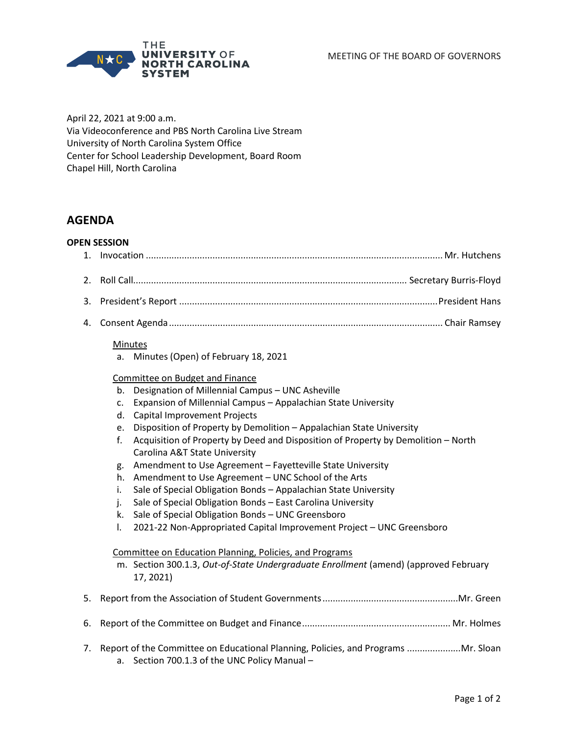MEETING OF THE BOARD OF GOVERNORS



April 22, 2021 at 9:00 a.m. Via Videoconference and PBS North Carolina Live Stream University of North Carolina System Office Center for School Leadership Development, Board Room Chapel Hill, North Carolina

# **AGENDA**

## **OPEN SESSION**

4. Consent Agenda........................................................................................................... Chair Ramsey

#### Minutes

a. Minutes (Open) of February 18, 2021

## Committee on Budget and Finance

- b. Designation of Millennial Campus UNC Asheville
- c. Expansion of Millennial Campus Appalachian State University
- d. Capital Improvement Projects
- e. Disposition of Property by Demolition Appalachian State University
- f. Acquisition of Property by Deed and Disposition of Property by Demolition North Carolina A&T State University
- g. Amendment to Use Agreement Fayetteville State University
- h. Amendment to Use Agreement UNC School of the Arts
- i. Sale of Special Obligation Bonds Appalachian State University
- j. Sale of Special Obligation Bonds East Carolina University
- k. Sale of Special Obligation Bonds UNC Greensboro
- l. 2021-22 Non-Appropriated Capital Improvement Project UNC Greensboro

#### Committee on Education Planning, Policies, and Programs

m. Section 300.1.3, *Out-of-State Undergraduate Enrollment* (amend) (approved February 17, 2021)

|--|--|--|--|

- 6. Report of the Committee on Budget and Finance.......................................................... Mr. Holmes
- 7. Report of the Committee on Educational Planning, Policies, and Programs .....................Mr. Sloan a. Section 700.1.3 of the UNC Policy Manual –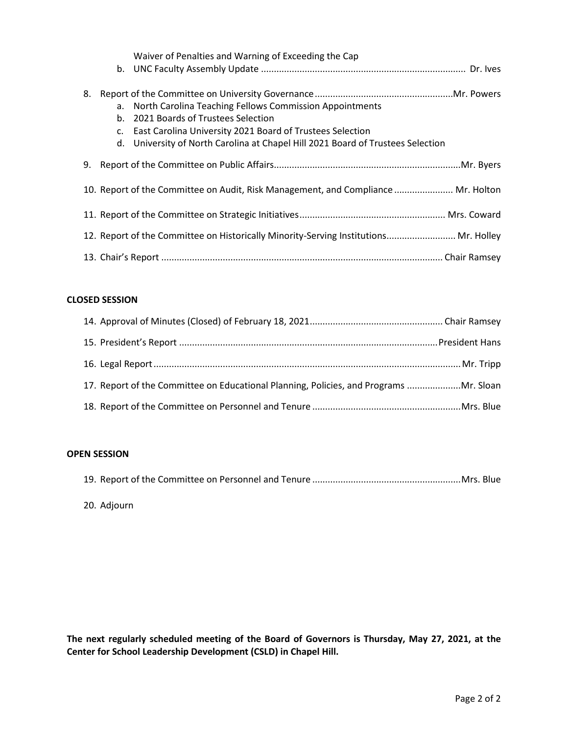|    |               | Waiver of Penalties and Warning of Exceeding the Cap                                                                                                                                                                                            |
|----|---------------|-------------------------------------------------------------------------------------------------------------------------------------------------------------------------------------------------------------------------------------------------|
| 8. | $b_{-}$<br>c. | a. North Carolina Teaching Fellows Commission Appointments<br>2021 Boards of Trustees Selection<br>East Carolina University 2021 Board of Trustees Selection<br>d. University of North Carolina at Chapel Hill 2021 Board of Trustees Selection |
| 9. |               |                                                                                                                                                                                                                                                 |
|    |               | 10. Report of the Committee on Audit, Risk Management, and Compliance  Mr. Holton                                                                                                                                                               |
|    |               |                                                                                                                                                                                                                                                 |
|    |               | 12. Report of the Committee on Historically Minority-Serving Institutions Mr. Holley                                                                                                                                                            |
|    |               |                                                                                                                                                                                                                                                 |

# **CLOSED SESSION**

| 17. Report of the Committee on Educational Planning, Policies, and Programs  Mr. Sloan |  |
|----------------------------------------------------------------------------------------|--|
|                                                                                        |  |

# **OPEN SESSION**

20. Adjourn

**The next regularly scheduled meeting of the Board of Governors is Thursday, May 27, 2021, at the Center for School Leadership Development (CSLD) in Chapel Hill.**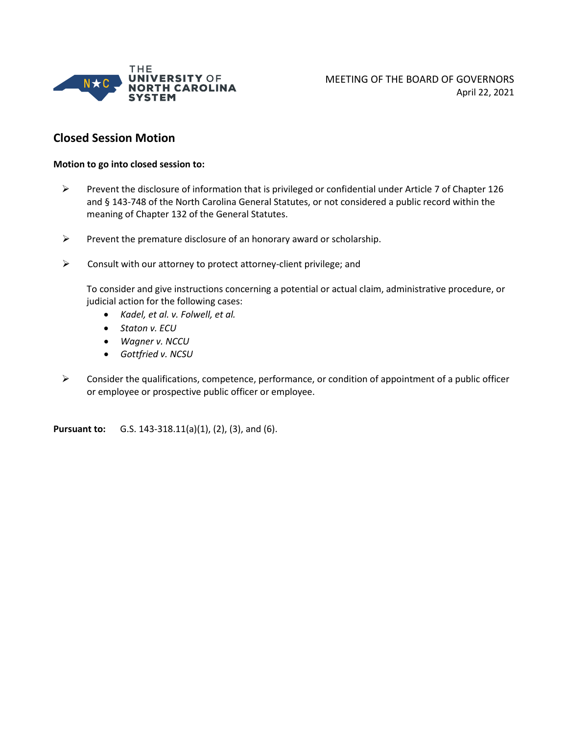

# **Closed Session Motion**

#### **Motion to go into closed session to:**

- Prevent the disclosure of information that is privileged or confidential under Article 7 of Chapter 126 and § 143-748 of the North Carolina General Statutes, or not considered a public record within the meaning of Chapter 132 of the General Statutes.
- $\triangleright$  Prevent the premature disclosure of an honorary award or scholarship.
- $\triangleright$  Consult with our attorney to protect attorney-client privilege; and

To consider and give instructions concerning a potential or actual claim, administrative procedure, or judicial action for the following cases:

- *Kadel, et al. v. Folwell, et al.*
- *Staton v. ECU*
- *Wagner v. NCCU*
- *Gottfried v. NCSU*
- $\triangleright$  Consider the qualifications, competence, performance, or condition of appointment of a public officer or employee or prospective public officer or employee.

**Pursuant to:** G.S. 143-318.11(a)(1), (2), (3), and (6).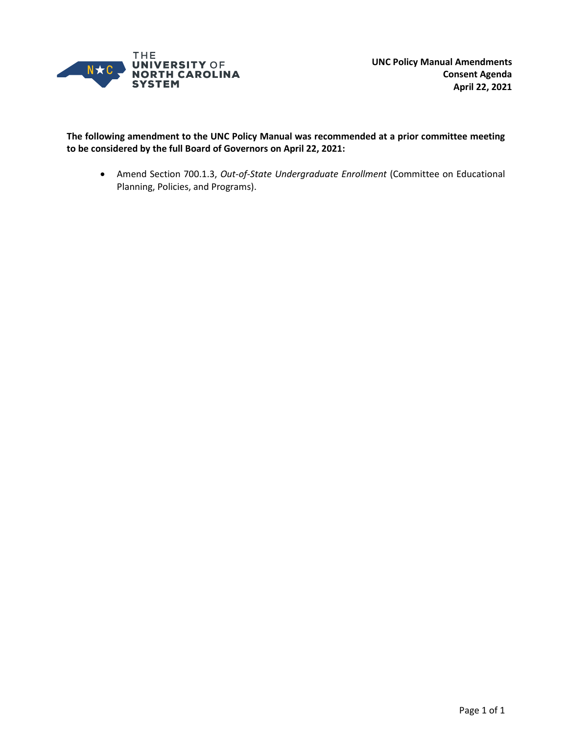

**The following amendment to the UNC Policy Manual was recommended at a prior committee meeting to be considered by the full Board of Governors on April 22, 2021:**

• Amend Section 700.1.3, *Out-of-State Undergraduate Enrollment* (Committee on Educational Planning, Policies, and Programs).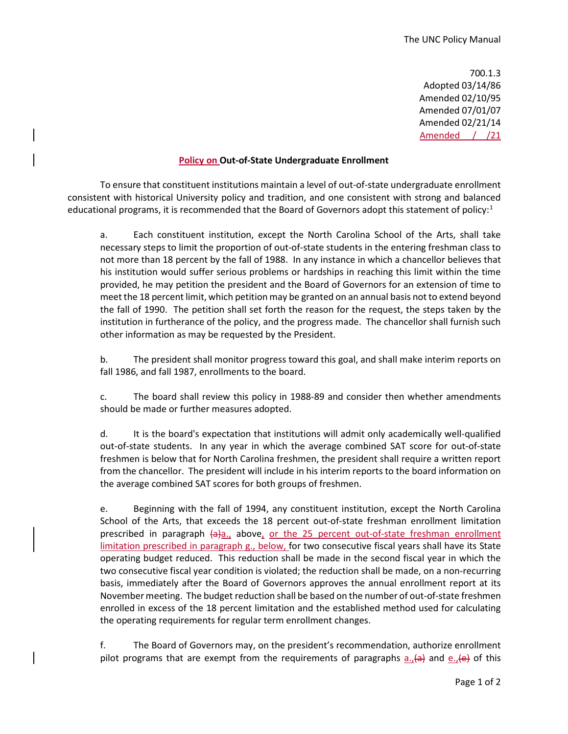700.1.3 Adopted 03/14/86 Amended 02/10/95 Amended 07/01/07 Amended 02/21/14 Amended / /21

#### **Policy on Out-of-State Undergraduate Enrollment**

To ensure that constituent institutions maintain a level of out-of-state undergraduate enrollment consistent with historical University policy and tradition, and one consistent with strong and balanced educational programs, it is recommended that the Board of Governors adopt this statement of policy:<sup>1</sup>

a. Each constituent institution, except the North Carolina School of the Arts, shall take necessary steps to limit the proportion of out-of-state students in the entering freshman class to not more than 18 percent by the fall of 1988. In any instance in which a chancellor believes that his institution would suffer serious problems or hardships in reaching this limit within the time provided, he may petition the president and the Board of Governors for an extension of time to meet the 18 percent limit, which petition may be granted on an annual basis not to extend beyond the fall of 1990. The petition shall set forth the reason for the request, the steps taken by the institution in furtherance of the policy, and the progress made. The chancellor shall furnish such other information as may be requested by the President.

b. The president shall monitor progress toward this goal, and shall make interim reports on fall 1986, and fall 1987, enrollments to the board.

c. The board shall review this policy in 1988-89 and consider then whether amendments should be made or further measures adopted.

d. It is the board's expectation that institutions will admit only academically well-qualified out-of-state students. In any year in which the average combined SAT score for out-of-state freshmen is below that for North Carolina freshmen, the president shall require a written report from the chancellor. The president will include in his interim reports to the board information on the average combined SAT scores for both groups of freshmen.

e. Beginning with the fall of 1994, any constituent institution, except the North Carolina School of the Arts, that exceeds the 18 percent out-of-state freshman enrollment limitation prescribed in paragraph  $\left\{\Theta\right\}_{a}$ , above, or the 25 percent out-of-state freshman enrollment limitation prescribed in paragraph g., below, for two consecutive fiscal years shall have its State operating budget reduced. This reduction shall be made in the second fiscal year in which the two consecutive fiscal year condition is violated; the reduction shall be made, on a non-recurring basis, immediately after the Board of Governors approves the annual enrollment report at its November meeting. The budget reduction shall be based on the number of out-of-state freshmen enrolled in excess of the 18 percent limitation and the established method used for calculating the operating requirements for regular term enrollment changes.

f. The Board of Governors may, on the president's recommendation, authorize enrollment pilot programs that are exempt from the requirements of paragraphs  $a_{1}$  and  $e_{1}$  ef this